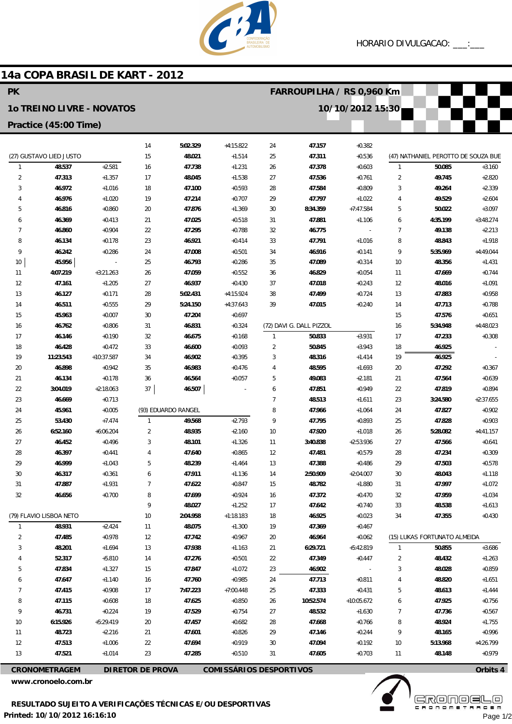

**Contract** 

 $\frac{1}{2}$ 

## 14a COPA BRASIL DE KART - 2012

 $\overline{\phantom{a}}$ 

| ٢K                               |                         |                      |                |                     |                      |                | FARRUUPILHA / RS 0,960 KM |                          |                     |                                     |                      |
|----------------------------------|-------------------------|----------------------|----------------|---------------------|----------------------|----------------|---------------------------|--------------------------|---------------------|-------------------------------------|----------------------|
| <b>10 TREINO LIVRE - NOVATOS</b> |                         |                      |                |                     | 10/10/2012 15:30     |                |                           |                          |                     |                                     |                      |
| Practice (45:00 Time)            |                         |                      |                |                     |                      |                |                           |                          |                     |                                     |                      |
|                                  |                         |                      |                |                     |                      |                |                           |                          |                     |                                     |                      |
|                                  |                         |                      | 14             | 5:02.329            | $+4:15.822$          | 24             | 47.157                    | $+0.382$                 |                     | (47) NATHANIEL PEROTTO DE SOUZA BUE |                      |
|                                  | (27) GUSTAVO LIED JUSTO |                      | 15             | 48.021              | $+1.514$             | 25             | 47.311                    | $+0.536$                 |                     |                                     |                      |
| 1                                | 48.537                  | $+2.581$             | 16             | 47.738              | $+1.231$             | 26             | 47.378                    | $+0.603$                 | $\mathbf{1}$        | 50.085                              | $+3.160$             |
| 2<br>3                           | 47.313<br>46.972        | $+1.357$<br>$+1.016$ | 17<br>18       | 48.045<br>47.100    | $+1.538$<br>$+0.593$ | 27<br>28       | 47.536<br>47.584          | $+0.761$<br>$+0.809$     | $\overline{2}$<br>3 | 49.745<br>49.264                    | $+2.820$<br>$+2.339$ |
| 4                                | 46.976                  | $+1.020$             | 19             | 47.214              | $+0.707$             | 29             | 47.797                    | $+1.022$                 | 4                   | 49.529                              | $+2.604$             |
| 5                                | 46.816                  | $+0.860$             | 20             | 47.876              | $+1.369$             | 30             | 8:34.359                  | $+7:47.584$              | 5                   | 50.022                              | $+3.097$             |
| 6                                | 46.369                  | $+0.413$             | 21             | 47.025              | $+0.518$             | 31             | 47.881                    | $+1.106$                 | 6                   | 4:35.199                            | $+3:48.274$          |
| 7                                | 46.860                  | $+0.904$             | 22             | 47.295              | $+0.788$             | 32             | 46.775                    | $\overline{\phantom{a}}$ | $\overline{7}$      | 49.138                              | $+2.213$             |
| 8                                | 46.134                  | $+0.178$             | 23             | 46.921              | $+0.414$             | 33             | 47.791                    | $+1.016$                 | 8                   | 48.843                              | $+1.918$             |
| 9                                | 46.242                  | $+0.286$             | 24             | 47.008              | $+0.501$             | 34             | 46.916                    | $+0.141$                 | 9                   | 5:35.969                            | $+4:49.044$          |
| 10                               | 45.956                  | $\overline{a}$       | 25             | 46.793              | $+0.286$             | 35             | 47.089                    | $+0.314$                 | 10                  | 48.356                              | $+1.431$             |
| 11                               | 4:07.219                | $+3:21.263$          | 26             | 47.059              | $+0.552$             | 36             | 46.829                    | $+0.054$                 | 11                  | 47.669                              | $+0.744$             |
| 12                               | 47.161                  | $+1.205$             | 27             | 46.937              | $+0.430$             | 37             | 47.018                    | $+0.243$                 | 12                  | 48.016                              | $+1.091$             |
| 13                               | 46.127                  | $+0.171$             | 28             | 5:02.431            | $+4:15.924$          | 38             | 47.499                    | $+0.724$                 | 13                  | 47.883                              | $+0.958$             |
| 14                               | 46.511                  | $+0.555$             | 29             | 5:24.150            | $+4:37.643$          | 39             | 47.015                    | $+0.240$                 | 14                  | 47.713                              | $+0.788$             |
| 15                               | 45.963                  | $+0.007$             | 30             | 47.204              | $+0.697$             |                |                           |                          | 15                  | 47.576                              | $+0.651$             |
| 16                               | 46.762                  | $+0.806$             | 31             | 46.831              | $+0.324$             |                | (72) DAVI G. DALL PIZZOL  |                          | 16                  | 5:34.948                            | $+4:48.023$          |
| 17                               | 46.146                  | $+0.190$             | 32             | 46.675              | $+0.168$             | $\mathbf{1}$   | 50.833                    | $+3.931$                 | 17                  | 47.233                              | $+0.308$             |
| 18                               | 46.428                  | $+0.472$             | 33             | 46.600              | $+0.093$             | $\overline{2}$ | 50.845                    | $+3.943$                 | 18                  | 46.925                              |                      |
| 19                               | 11:23.543               | +10:37.587           | 34             | 46.902              | $+0.395$             | 3              | 48.316                    | $+1.414$                 | 19                  | 46.925                              |                      |
| 20                               | 46.898                  | $+0.942$             | 35             | 46.983              | $+0.476$             | 4              | 48.595                    | $+1.693$                 | 20                  | 47.292                              | $+0.367$             |
| 21                               | 46.134                  | $+0.178$             | 36             | 46.564              | $+0.057$             | 5              | 49.083                    | $+2.181$                 | 21                  | 47.564                              | $+0.639$             |
| 22                               | 3:04.019                | $+2:18.063$          | 37             | 46.507              |                      | 6              | 47.851                    | $+0.949$                 | 22                  | 47.819                              | $+0.894$             |
| 23                               | 46.669                  | $+0.713$             |                |                     |                      | $\overline{7}$ | 48.513                    | $+1.611$                 | 23                  | 3:24.580                            | $+2:37.655$          |
| 24                               | 45.961                  | $+0.005$             |                | (93) EDUARDO RANGEL |                      | 8              | 47.966                    | $+1.064$                 | 24                  | 47.827                              | $+0.902$             |
| 25                               | 53.430                  | $+7.474$             | $\mathbf{1}$   | 49.568              | $+2.793$             | 9              | 47.795                    | $+0.893$                 | 25                  | 47.828                              | $+0.903$             |
| 26                               | 6:52.160                | $+6:06.204$          | $\overline{2}$ | 48.935              | $+2.160$             | 10             | 47.920                    | $+1.018$                 | 26                  | 5:28.082                            | $+4:41.157$          |
| 27                               | 46.452                  | $+0.496$             | 3              | 48.101              | $+1.326$             | 11             | 3:40.838                  | $+2:53.936$              | 27                  | 47.566                              | $+0.641$             |
| 28                               | 46.397                  | $+0.441$             | 4              | 47.640              | $+0.865$             | 12             | 47.481                    | $+0.579$                 | 28                  | 47.234                              | $+0.309$             |
| 29                               | 46.999                  | $+1.043$             | 5              | 48.239              | $+1.464$             | 13             | 47.388                    | $+0.486$                 | 29                  | 47.503                              | $+0.578$             |
| 30                               | 46.317                  | $+0.361$             | 6              | 47.911              | $+1.136$             | 14             | 2:50.909                  | $+2:04.007$              | 30                  | 48.043                              | $+1.118$             |
| 31                               | 47.887                  | $+1.931$             | 7              | 47.622              | $+0.847$             | 15             | 48.782                    | $+1.880$                 | 31                  | 47.997                              | $+1.072$             |
| 32                               | 46.656                  | $+0.700$             | 8              | 47.699              | $+0.924$             | 16             | 47.372                    | $+0.470$                 | 32                  | 47.959                              | $+1.034$             |
|                                  |                         |                      | 9              | 48.027              | $+1.252$             | 17             | 47.642                    | $+0.740$                 | 33                  | 48.538                              | $+1.613$             |
|                                  | (79) FLAVIO LISBOA NETO |                      | $10$           | 2:04.958            | $+1:18.183$          | 18             | 46.925                    | $+0.023$                 | 34                  | 47.355                              | $+0.430$             |
| $\mathbf{1}$                     | 48.931                  | $+2.424$             | 11             | 48.075              | $+1.300$             | 19             | 47.369                    | $+0.467$                 |                     |                                     |                      |
| 2                                | 47.485                  | $+0.978$             | 12             | 47.742              | $+0.967$             | 20             | 46.964                    | $+0.062$                 |                     | (15) LUKAS FORTUNATO ALMEIDA        |                      |
| 3                                | 48.201                  | $+1.694$             | 13             | 47.938              | $+1.163$             | 21             | 6:29.721                  | $+5:42.819$              | $\mathbf{1}$        | 50.855                              | $+3.686$             |
|                                  | 52.317                  | $+5.810$             | 14             | 47.276              | $+0.501$             | 22             | 47.349                    | $+0.447$                 | $\overline{2}$      | 48.432                              | $+1.263$             |
| 5                                | 47.834                  | $+1.327$             | 15             | 47.847              | $+1.072$             | 23             | 46.902                    |                          | 3                   | 48.028                              | $+0.859$             |
| 6                                | 47.647                  | $+1.140$             | 16             | 47.760              | $+0.985$             | 24             | 47.713                    | $+0.811$                 | 4                   | 48.820                              | $+1.651$             |
| 7                                | 47.415                  | $+0.908$             | 17             | 7:47.223            | $+7:00.448$          | 25             | 47.333                    | $+0.431$                 | 5                   | 48.613                              | $+1.444$             |
| 8                                | 47.115                  | $+0.608$             | 18             | 47.625              | $+0.850$             | 26             | 10:52.574                 | $+10:05.672$             | 6                   | 47.925                              | $+0.756$             |
| 9                                | 46.731                  | $+0.224$             | 19             | 47.529              | $+0.754$             | 27             | 48.532                    | $+1.630$                 | $\overline{7}$      | 47.736                              | $+0.567$             |
| 10                               | 6:15.926                | +5:29.419            | 20             | 47.457              | $+0.682$             | 28             | 47.668                    | $+0.766$                 | 8                   | 48.924                              | $+1.755$             |
| 11                               | 48.723                  | $+2.216$             | 21             | 47.601              | $+0.826$             | 29             | 47.146                    | $+0.244$                 | 9                   | 48.165                              | $+0.996$             |
| 12                               | 47.513                  | $+1.006$             | 22             | 47.694              | $+0.919$             | 30             | 47.094                    | $+0.192$                 | 10                  | 5:13.968                            | +4:26.799            |
| 13                               | 47.521                  | $+1.014$             | 23             | 47.285              | $+0.510$             | 31             | 47.605                    | $+0.703$                 | 11                  | 48.148                              | $+0.979$             |

**CRONOMETRAGEM** 

DIRETOR DE PROVA COMISSÁRIOS DESPORTIVOS

www.cronoelo.com.br



Page 1/2